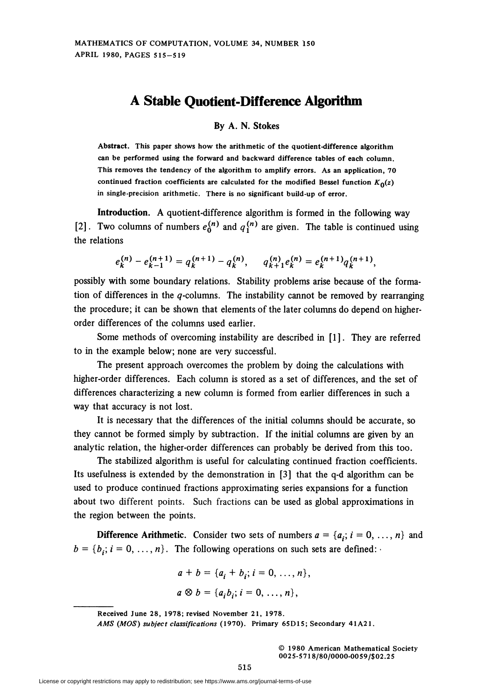## A Stable Quotient-Difference Algorithm

By A. N. Stokes

Abstract. This paper shows how the arithmetic of the quotient-difference algorithm can be performed using the forward and backward difference tables of each column. This removes the tendency of the algorithm to amplify errors. As an application, 70 continued fraction coefficients are calculated for the modified Bessel function  $K_0(z)$ in single-precision arithmetic. There is no significant build-up of error.

Introduction. A quotient-difference algorithm is formed in the following way [2]. Two columns of numbers  $e^{(n)}_0$  and  $q^{(n)}_1$  are given. The table is continued using the relations

$$
e_k^{(n)} - e_{k-1}^{(n+1)} = q_k^{(n+1)} - q_k^{(n)}, \qquad q_{k+1}^{(n)} e_k^{(n)} = e_k^{(n+1)} q_k^{(n+1)},
$$

possibly with some boundary relations. Stability problems arise because of the formation of differences in the  $q$ -columns. The instability cannot be removed by rearranging the procedure; it can be shown that elements of the later columns do depend on higherorder differences of the columns used earlier.

Some methods of overcoming instability are described in [1]. They are referred to in the example below; none are very successful.

The present approach overcomes the problem by doing the calculations with higher-order differences. Each column is stored as a set of differences, and the set of differences characterizing a new column is formed from earlier differences in such a way that accuracy is not lost.

It is necessary that the differences of the initial columns should be accurate, so they cannot be formed simply by subtraction. If the initial columns are given by an analytic relation, the higher-order differences can probably be derived from this too.

The stabilized algorithm is useful for calculating continued fraction coefficients. Its usefulness is extended by the demonstration in [3] that the q-d algorithm can be used to produce continued fractions approximating series expansions for a function about two different points. Such fractions can be used as global approximations in the region between the points.

**Difference Arithmetic.** Consider two sets of numbers  $a = \{a_i; i = 0, ..., n\}$  and  $b = \{b_i; i = 0, \ldots, n\}$ . The following operations on such sets are defined:

$$
a + b = \{a_i + b_i; i = 0, ..., n\},
$$
  

$$
a \otimes b = \{a_i b_i; i = 0, ..., n\},
$$

© 1980 American Mathematical Society 0025-571 8/80/0000-0059/\$02.25

Received June 28, 1978; revised November 21, 1978.

AMS (MOS) subject classifications (1970). Primary 65D15; Secondary 41A21.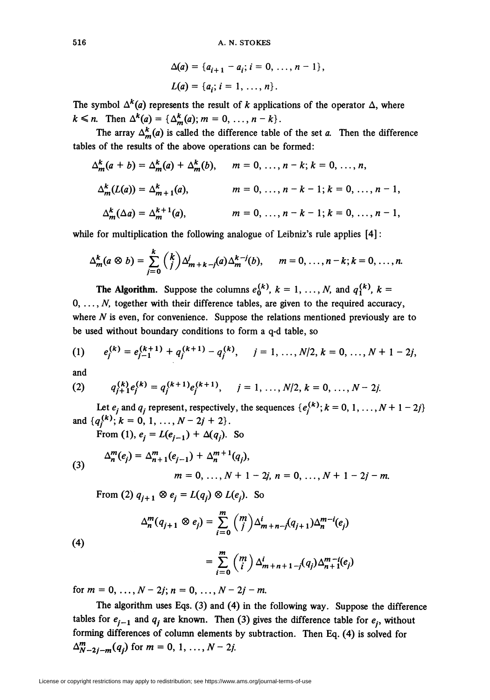$$
\Delta(a) = \{a_{i+1} - a_i; i = 0, ..., n-1\},\
$$
  

$$
L(a) = \{a_i; i = 1, ..., n\}.
$$

The symbol  $\Delta^{k}(a)$  represents the result of k applications of the operator  $\Delta$ , where  $k \le n$ . Then  $\Delta^{k}(a) = {\Delta^{k}(a)}; m = 0, ..., n-k$ .

The array  $\Delta_m^k(a)$  is called the difference table of the set a. Then the difference tables of the results of the above operations can be formed:

$$
\Delta_m^k(a+b) = \Delta_m^k(a) + \Delta_m^k(b), \qquad m = 0, \ldots, n-k; k = 0, \ldots, n,
$$
  

$$
\Delta_m^k(L(a)) = \Delta_{m+1}^k(a), \qquad m = 0, \ldots, n-k-1; k = 0, \ldots, n-1,
$$
  

$$
\Delta_m^k(\Delta a) = \Delta_m^{k+1}(a), \qquad m = 0, \ldots, n-k-1; k = 0, \ldots, n-1,
$$

while for multiplication the following analogue of Leibniz's rule applies  $[4]$ :

$$
\Delta_m^k(a\otimes b)=\sum_{j=0}^k\binom{k}{j}\Delta_{m+k-j}^j(a)\Delta_m^{k-j}(b),\qquad m=0,\ldots,n-k; k=0,\ldots,n.
$$

**The Algorithm.** Suppose the columns  $e_0^{(k)}$ ,  $k = 1, ..., N$ , and  $q_1^{(k)}$ ,  $k =$  $0, \ldots, N$ , together with their difference tables, are given to the required accuracy, where  $N$  is even, for convenience. Suppose the relations mentioned previously are to be used without boundary conditions to form a q-d table, so

(1) 
$$
e_j^{(k)} = e_{j-1}^{(k+1)} + q_j^{(k+1)} - q_j^{(k)}, \quad j = 1, ..., N/2, k = 0, ..., N + 1 - 2j,
$$

and

(2) 
$$
q_{j+1}^{(k)}e_j^{(k)} = q_j^{(k+1)}e_j^{(k+1)}, \quad j = 1, ..., N/2, k = 0, ..., N-2j.
$$

Let  $e_j$  and  $q_j$  represent, respectively, the sequences  $\{e_j^{(k)}; k = 0, 1, ..., N + 1 - 2j\}$ and  $\{q_j^{(k)}; k = 0, 1, ..., N - 2j + 2\}.$ 

From (1),  $e_i = L(e_{i-1}) + \Delta(q_i)$ . So

(3) 
$$
\Delta_n^m(e_j) = \Delta_{n+1}^m(e_{j-1}) + \Delta_n^{m+1}(q_j),
$$

$$
m = 0, ..., N + 1 - 2j, n = 0, ..., N + 1 - 2j - m.
$$

From (2)  $q_{i+1} \otimes e_i = L(q_i) \otimes L(e_i)$ . So

$$
\Delta_n^m(q_{j+1}\otimes e_j)=\sum_{i=0}^m\binom{m}{j}\Delta_{m+n-j}^i(q_{j+1})\Delta_n^{m-i}(e_j)
$$

 $(4)$ 

$$
= \sum_{i=0}^m \binom{m}{i} \Delta_{m+n+1-j}^i(q_j) \Delta_{n+1}^{m-i}(e_j)
$$

for  $m = 0, ..., N - 2j; n = 0, ..., N - 2j - m$ .

The algorithm uses Eqs. (3) and (4) in the following way. Suppose the difference tables for  $e_{i-1}$  and  $q_i$  are known. Then (3) gives the difference table for  $e_i$ , without forming differences of column elements by subtraction. Then Eq. (4) is solved for  $\Delta_{N-2i-m}^{m}(q_i)$  for  $m = 0, 1, ..., N-2j$ .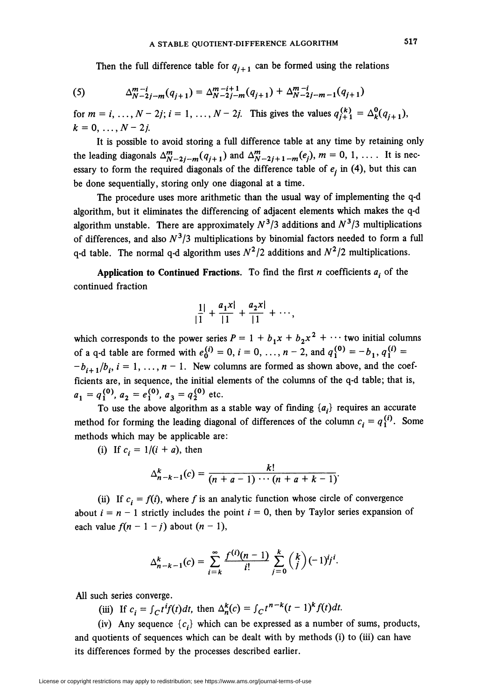Then the full difference table for  $q_{i+1}$  can be formed using the relations

(5) 
$$
\Delta_{N-2j-m}^{m-i}(q_{j+1}) = \Delta_{N-2j-m}^{m-i+1}(q_{j+1}) + \Delta_{N-2j-m-1}^{m-i}(q_{j+1})
$$

for  $m = i, ..., N - 2j; i = 1, ..., N - 2j$ . This gives the values  $q_{j+1}^{(k)} = \Delta_k^0(q_{j+1}),$  $k = 0, \ldots, N-2j.$ 

It is possible to avoid storing a full difference table at any time by retaining only the leading diagonals  $\Delta^m_{N-2j-m}(q_{j+1})$  and  $\Delta^m_{N-2j+1-m}(e_j), m = 0, 1, \ldots$  It is necessary to form the required diagonals of the difference table of  $e_i$  in (4), but this can be done sequentially, storing only one diagonal at a time.

The procedure uses more arithmetic than the usual way of implementing the q-d algorithm, but it eliminates the differencing of adjacent elements which makes the q-d algorithm unstable. There are approximately  $N^3/3$  additions and  $N^3/3$  multiplications of differences, and also  $N^3/3$  multiplications by binomial factors needed to form a full q-d table. The normal q-d algorithm uses  $N^2/2$  additions and  $N^2/2$  multiplications.

Application to Continued Fractions. To find the first *n* coefficients  $a_i$  of the continued fraction

$$
\frac{1}{|1|} + \frac{a_1 x}{|1|} + \frac{a_2 x}{|1|} + \cdots,
$$

which corresponds to the power series  $P = 1 + b_1x + b_2x^2 + \cdots$  two initial columns of a q-d table are formed with  $e^{(i)}_0 = 0$ ,  $i = 0, ..., n-2$ , and  $q_1^{(0)} = -b_1$ ,  $q_1^{(i)} =$  $-b_{i+1}/b_i$ ,  $i = 1, ..., n-1$ . New columns are formed as shown above, and the coefficients are, in sequence, the initial elements of the columns of the q-d table; that is,  $a_1 = q_1^{(0)}$ ,  $a_2 = e_1^{(0)}$ ,  $a_3 = q_2^{(0)}$  etc.

To use the above algorithm as a stable way of finding  $\{a_i\}$  requires an accurate method for forming the leading diagonal of differences of the column  $c_i = q_i^{(i)}$ . Some methods which may be applicable are:

(i) If  $c_i = 1/(i + a)$ , then

$$
\Delta_{n-k-1}^k(c) = \frac{k!}{(n+a-1)\cdots(n+a+k-1)}.
$$

(ii) If  $c_i = f(i)$ , where f is an analytic function whose circle of convergence about  $i = n - 1$  strictly includes the point  $i = 0$ , then by Taylor series expansion of each value  $f(n-1-j)$  about  $(n-1)$ ,

$$
\Delta_{n-k-1}^k(c) = \sum_{i=k}^{\infty} \frac{f^{(i)}(n-1)}{i!} \sum_{j=0}^k {k \choose j} (-1)^j j^i.
$$

All such series converge.

(iii) If  $c_i = \int_C t^i f(t) dt$ , then  $\Delta_n^k(c) = \int_C t^{n-k}(t-1)^k f(t) dt$ .

(iv) Any sequence  $\{c_i\}$  which can be expressed as a number of sums, products, and quotients of sequences which can be dealt with by methods (i) to (iii) can have its differences formed by the processes described earlier.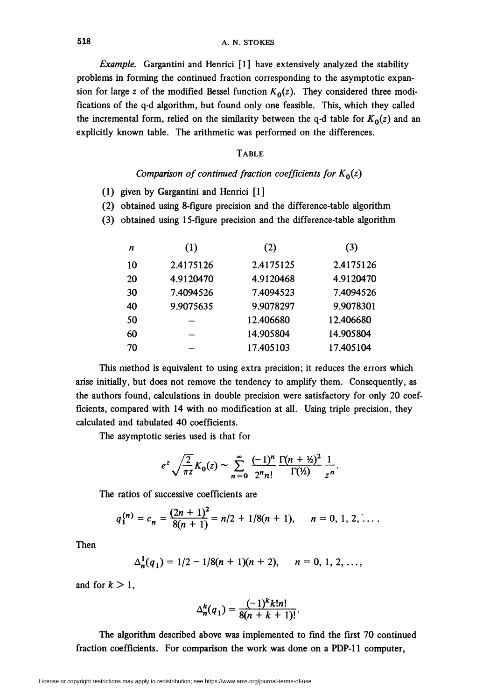518 A. N. STOKES

Example. Gargantini and Henrici [1] have extensively analyzed the stability problems in forming the continued fraction corresponding to the asymptotic expansion for large z of the modified Bessel function  $K_0(z)$ . They considered three modifications of the q-d algorithm, but found only one feasible. This, which they called the incremental form, relied on the similarity between the q-d table for  $K_0(z)$  and an explicitly known table. The arithmetic was performed on the differences.

## **TABLE**

## Comparison of continued fraction coefficients for  $K_0(z)$

- (1) given by Gargantini and Henrici [1]
- (2) obtained using 8-figure precision and the difference-table algorithm
- (3) obtained using 15-figure precision and the difference-table algorithm

| n  | (1)       | (2)       | (3)       |
|----|-----------|-----------|-----------|
| 10 | 2.4175126 | 2.4175125 | 2.4175126 |
| 20 | 4.9120470 | 4.9120468 | 4.9120470 |
| 30 | 7.4094526 | 7.4094523 | 7.4094526 |
| 40 | 9.9075635 | 9.9078297 | 9.9078301 |
| 50 |           | 12.406680 | 12.406680 |
| 60 |           | 14.905804 | 14.905804 |
| 70 |           | 17.405103 | 17.405104 |

This method is equivalent to using extra precision; it reduces the errors which arise initially, but does not remove the tendency to amplify them. Consequently, as the authors found, calculations in double precision were satisfactory for only 20 coefficients, compared with 14 with no modification at all. Using triple precision, they calculated and tabulated 40 coefficients.

The asymptotic series used is that for

$$
e^{z}\sqrt{\frac{2}{\pi z}}K_{0}(z)\sim\sum_{n=0}^{\infty}\frac{(-1)^{n}}{2^{n}n!}\frac{\Gamma(n+\frac{1}{2})^{2}}{\Gamma(\frac{1}{2})}\frac{1}{z^{n}}.
$$

The ratios of successive coefficients are

$$
q_1^{(n)}=c_n=\frac{(2n+1)^2}{8(n+1)}=n/2+1/8(n+1),\qquad n=0,\,1,\,2,\,\ldots.
$$

Then

$$
\Delta_n^1(q_1) = 1/2 - 1/8(n+1)(n+2), \quad n = 0, 1, 2, \ldots,
$$

and for  $k > 1$ ,

$$
\Delta_n^k(q_1) = \frac{(-1)^k k! n!}{8(n+k+1)!}.
$$

The algorithm described above was implemented to find the first 70 continued fraction coefficients. For comparison the work was done on a PDP-11 computer,